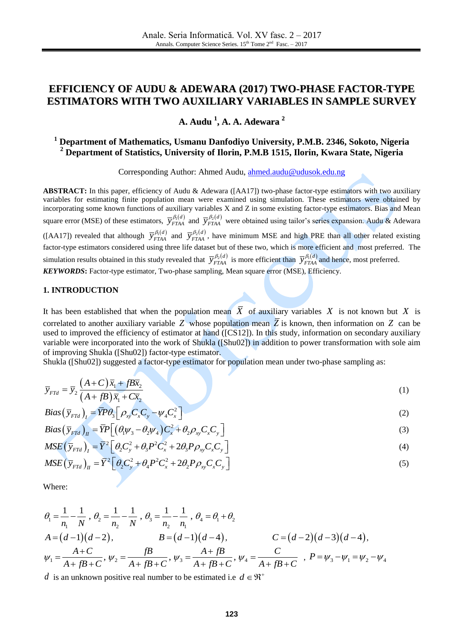# **EFFICIENCY OF AUDU & ADEWARA (2017) TWO-PHASE FACTOR-TYPE ESTIMATORS WITH TWO AUXILIARY VARIABLES IN SAMPLE SURVEY**

**A. Audu 1 , A. A. Adewara 2**

# **<sup>1</sup> Department of Mathematics, Usmanu Danfodiyo University, P.M.B. 2346, Sokoto, Nigeria <sup>2</sup> Department of Statistics, University of Ilorin, P.M.B 1515, Ilorin, Kwara State, Nigeria**

Corresponding Author: Ahmed Audu, [ahmed.audu@udusok.edu.ng](mailto:ahmed.audu@udusok.edu.ng)

**ABSTRACT:** In this paper, efficiency of Audu & Adewara ([AA17]) two-phase factor-type estimators with two auxiliary variables for estimating finite population mean were examined using simulation. These estimators were obtained by incorporating some known functions of auxiliary variables X and Z in some existing factor-type estimators. Bias and Mean square error (MSE) of these estimators,  $\overline{y}_{FFAA}^{\beta_1(d)}$  and  $\overline{y}_{FTAA}^{\beta_2(d)}$  were obtained using tailor's series expansion. Audu & Adewara ([AA17]) revealed that although  $\bar{y}^{\beta_1(d)}_{FTAA}$  and  $\bar{y}^{\beta_2(d)}_{FTAA}$ , have minimum MSE and high PRE than all other related existing factor-type estimators considered using three life dataset but of these two, which is more efficient and most preferred. The simulation results obtained in this study revealed that  $\bar{y}^{B_2(d)}_{FTAA}$  is more efficient than  $\bar{y}^{B_1(d)}_{FTAA}$  and hence, most preferred. *KEYWORDS***:** Factor-type estimator, Two-phase sampling, Mean square error (MSE), Efficiency.

#### **1. INTRODUCTION**

It has been established that when the population mean  $X$  of auxiliary variables  $X$  is not known but  $X$  is correlated to another auxiliary variable  $Z$  whose population mean  $Z$  is known, then information on  $Z$  can be used to improved the efficiency of estimator at hand ([CS12]). In this study, information on secondary auxiliary variable were incorporated into the work of Shukla ([Shu02]) in addition to power transformation with sole aim of improving Shukla ([Shu02]) factor-type estimator.

Shukla ([Shu02]) suggested a factor-type estimator for population mean under two-phase sampling as:

$$
\overline{y}_{FId} = \overline{y}_2 \frac{(A+C)\overline{x}_1 + fB\overline{x}_2}{(A+fB)\overline{x}_1 + C\overline{x}_2}
$$
\n(1)

$$
(A + jB)x_1 + Cx_2
$$
  
\n
$$
Bias(\overline{y}_{F7d})_I = \overline{Y}P\theta_3 \left[\rho_{xy}C_xC_y - \psi_4C_x^2\right]
$$
  
\n
$$
Bias(\overline{y}_{F7d})_I = \overline{Y}P\left[\left(\theta_1\psi_3 - \theta_2\psi_4\right)C_x^2 + \theta_2\rho_{xy}C_xC_y\right]
$$
\n(3)

$$
Bias(\bar{y}_{FId})_I = \bar{Y}P\theta_3 \left[ \rho_{xy} C_x C_y - \psi_4 C_x^2 \right]
$$
  
\n
$$
Bias(\bar{y}_{FId})_H = \bar{Y}P \left[ (\theta_1 \psi_3 - \theta_2 \psi_4) C_x^2 + \theta_2 \rho_{xy} C_x C_y \right]
$$
  
\n
$$
MSE(\bar{y}_{FId})_I = \bar{Y}^2 \left[ \theta_2 C_y^2 + \theta_3 P^2 C_x^2 + 2\theta_3 P \rho_{xy} C_x C_y \right]
$$
  
\n(4)

$$
MSE\left(\bar{\mathbf{y}}_{FTd}\right)_I = \bar{Y}^2 \left[\theta_2 C_y^2 + \theta_3 P^2 C_x^2 + 2\theta_3 P \rho_{xy} C_x C_y\right]
$$
\n<sup>(4)</sup>

$$
MSE\left(\overline{y}_{FId}\right)_I = \overline{Y}^2 \left[\theta_2 C_y^2 + \theta_3 P^2 C_x^2 + 2\theta_3 P \rho_{xy} C_x C_y\right]
$$
\n
$$
MSE\left(\overline{y}_{FId}\right)_II = \overline{Y}^2 \left[\theta_2 C_y^2 + \theta_4 P^2 C_x^2 + 2\theta_2 P \rho_{xy} C_x C_y\right]
$$
\n
$$
(5)
$$

Where:

where.  
\n
$$
\theta_1 = \frac{1}{n_1} - \frac{1}{N}, \ \theta_2 = \frac{1}{n_2} - \frac{1}{N}, \ \theta_3 = \frac{1}{n_2} - \frac{1}{n_1}, \ \theta_4 = \theta_1 + \theta_2
$$
\n
$$
A = (d-1)(d-2), \qquad B = (d-1)(d-4), \qquad C = (d-2)(d-3)(d-4),
$$
\n
$$
\psi_1 = \frac{A+C}{A+ fB+C}, \ \psi_2 = \frac{fB}{A+ fB+C}, \ \psi_3 = \frac{A+fB}{A+fB+C}, \ \psi_4 = \frac{C}{A+fB+C}, \ P = \psi_3 - \psi_1 = \psi_2 - \psi_4
$$

*d* is an unknown positive real number to be estimated i.e  $d \in \mathbb{R}^+$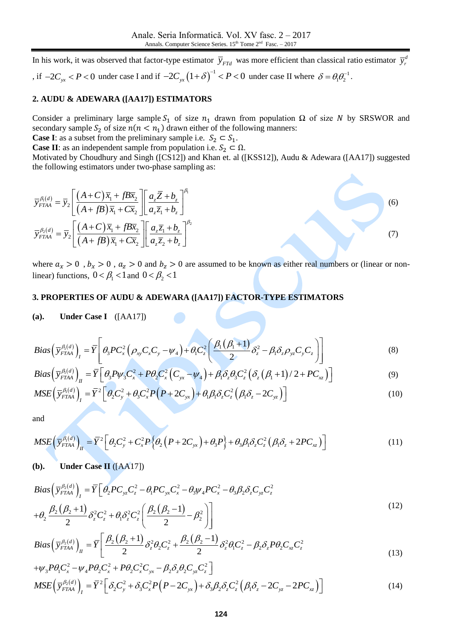In his work, it was observed that factor-type estimator  $\bar{y}_{FTd}$  was more efficient than classical ratio estimator  $\bar{y}_r^d$ *r y* , if  $-2C_{yx} < P < 0$  under case I and if  $-2C_{yx} (1+\delta)^{-1} < P < 0$  under case II where  $\delta = \theta_1 \theta_2^{-1}$ .

#### **2. AUDU & ADEWARA ([AA17]) ESTIMATORS**

Consider a preliminary large sample  $S_1$  of size  $n_1$  drawn from population  $\Omega$  of size N by SRSWOR and secondary sample  $S_2$  of size  $n(n < n_1)$  drawn either of the following manners:

**Case I**: as a subset from the preliminary sample i.e.  $S_2 \subset S_1$ .

**Case II**: as an independent sample from population i.e.  $S_2 \subset \Omega$ .

Motivated by Choudhury and Singh ([CS12]) and Khan et. al ([KSS12]), Audu & Adewara ([AA17]) suggested the following estimators under two-phase sampling as:

$$
\overline{y}_{FTAA}^{A(d)} = \overline{y}_2 \left[ \frac{(A+C)\overline{x}_1 + fB\overline{x}_2}{(A+fB)\overline{x}_1 + C\overline{x}_2} \right] \left[ \frac{a_z \overline{Z} + b_z}{a_z \overline{z}_1 + b_z} \right]^{A_1}
$$
\n
$$
\overline{y}_{FTAA}^{A_2(d)} = \overline{y}_2 \left[ \frac{(A+C)\overline{x}_1 + fB\overline{x}_2}{(A+fB)\overline{x}_1 + C\overline{x}_2} \right] \left[ \frac{a_z \overline{z}_1 + b_z}{a_z \overline{z}_2 + b_z} \right]^{A_2}
$$
\n(7)

where  $a_x > 0$ ,  $b_x > 0$ ,  $a_z > 0$  and  $b_z > 0$  are assumed to be known as either real numbers or (linear or nonlinear) functions,  $0 < \beta_1 < 1$  and  $0 < \beta_2 < 1$ 

## **3. PROPERTIES OF AUDU & ADEWARA ([AA17]) FACTOR-TYPE ESTIMATORS**

## **(a). Under Case I** ([AA17])

(a). Under Case I ([AA17])  
\n
$$
Bias\left(\overline{y}_{FTAA}^{\beta_1(d)}\right)_I = \overline{Y}\left[\theta_3 PC_x^2\left(\rho_{xy}C_xC_y - \psi_4\right) + \theta_1 C_z^2\left(\frac{\beta_1(\beta_1+1)}{2}\delta_z^2 - \beta_1 \delta_z \rho_{yz}C_yC_z\right)\right]
$$
\n
$$
Bias\left(\overline{y}_{FTAA}^{\beta_1(d)}\right)_I = \overline{Y}\left[\theta_3 PV_3C_x^2 + P\theta_2 C_x^2\left(C_{yx} - \psi_4\right) + \beta_1 \delta_z \theta_3 C_z^2\left(\delta_z(\beta_1+1)/2 + PC_{xz}\right)\right]
$$
\n(9)

$$
Bias\left(\overline{y}_{FTAA}^{\beta_1(d)}\right)_H = \overline{Y}\left[\theta_3 P \psi_3 C_x^2 + P \theta_2 C_x^2 \left(C_{yx} - \psi_4\right) + \beta_1 \delta_z \theta_3 C_z^2 \left(\delta_z \left(\beta_1 + 1\right)/2 + P C_{xz}\right)\right]
$$
\n
$$
MSE\left(\overline{y}_{FTAA}^{\beta_1(d)}\right) = \overline{Y}^2 \left[\theta_3 C_x^2 + \theta_4 C_z^2 P \left(P + 2C_{xx}\right) + \theta_1 \beta_2 \delta_z C_z^2 \left(\beta_3 \delta_z - 2C_{xx}\right)\right]
$$
\n(10)

$$
Bias\left(\overline{y}_{FTAA}^{\beta_1(d)}\right)_H = \overline{Y} \left[\theta_3 P \psi_3 C_x^2 + P \theta_2 C_x^2 \left(C_{yx} - \psi_4\right) + \beta_1 \delta_z \theta_3 C_z^2 \left(\delta_z \left(\beta_1 + 1\right)/2 + P C_{xz}\right)\right]
$$
\n
$$
MSE\left(\overline{y}_{FTAA}^{\beta_1(d)}\right)_I = \overline{Y}^2 \left[\theta_2 C_y^2 + \theta_3 C_x^2 P \left(P + 2C_{yx}\right) + \theta_1 \beta_1 \delta_z C_z^2 \left(\beta_1 \delta_z - 2C_{yz}\right)\right]
$$
\n(10)

and

and  
\n
$$
MSE\left(\overline{y}_{FTAA}^{\beta_1(d)}\right)_H = \overline{Y}^2 \left[\theta_2 C_y^2 + C_x^2 P\left\{\theta_2 \left(P + 2C_{yx}\right) + \theta_3 P\right\} + \theta_3 \beta_1 \delta_z C_z^2 \left(\beta_1 \delta_z + 2PC_{xz}\right)\right]
$$
\n(11)

#### **(b). Under Case II** ([AA17])

**(b).** Under Case II ([AA17])  
\n
$$
Bias\left(\overline{y}_{FTAA}^{\beta_2(d)}\right)_I = \overline{Y} \left[\theta_2 PC_{yz}C_z^2 - \theta_1 PC_{yx}C_x^2 - \theta_3 \psi_4 PC_x^2 - \theta_3 \beta_2 \delta_z C_{yz}C_z^2 + \theta_2 \frac{\beta_2 (\beta_2 + 1)}{2} \delta_z^2 C_z^2 + \theta_1 \delta_z^2 C_z^2 \left(\frac{\beta_2 (\beta_2 - 1)}{2} - \beta_2^2\right)\right]
$$
\n
$$
Bias\left(\overline{y}_{FTAA}^{\beta_2(d)}\right)_I = \overline{Y} \left[\frac{\beta_2 (\beta_2 + 1)}{2} \delta_z^2 \theta_2 C_z^2 + \frac{\beta_2 (\beta_2 - 1)}{2} \delta_z^2 \theta_1 C_z^2 - \beta_2 \delta_z PQ_2 C_{xz}C_z^2 + \beta_1 \frac{\beta_2 (\beta_2 - 1)}{2} \delta_z^2 \theta_2 C_z^2 + \beta_2 \frac{\beta_2 (\beta_2 - 1)}{2} \delta_z^2 \theta_1 C_z^2 - \beta_2 \delta_z PQ_2 C_{xz}C_z^2 + \beta_1 \frac{\beta_2 (\beta_2 - 1)}{2} \delta_z^2 \theta_2 C_{xz}^2 + \beta_2 \frac{\beta_2 (\beta_2 - 1)}{2} \delta_z^2 \theta_2 C_{xz}^2 C_{yz}^2 + \beta_1 \frac{\beta_2 (\beta_2 - 1)}{2} \delta_z^2 \theta_2 C_{xz}^2 C_{yz}^2 + \beta_2 \frac{\beta_2 (\beta_2 - 1)}{2} \delta_z^2 \theta_2 C_{xz}^2 C_{yz}^2
$$
\n(12)

$$
+\theta_{2} \frac{\mu_{2}(\rho_{2}+1)}{2} \delta_{z}^{2} C_{z}^{2} + \theta_{1} \delta_{z}^{2} C_{z}^{2} \left[ \frac{\mu_{2}(\rho_{2}-1)}{2} - \beta_{2}^{2} \right] \right]
$$
  
\n
$$
Bias\left(\overline{y}_{FTAA}^{\beta_{2}(d)}\right)_{II} = \overline{Y} \left[ \frac{\beta_{2}(\beta_{2}+1)}{2} \delta_{z}^{2} \theta_{2} C_{z}^{2} + \frac{\beta_{2}(\beta_{2}-1)}{2} \delta_{z}^{2} \theta_{1} C_{z}^{2} - \beta_{2} \delta_{z} P \theta_{2} C_{xz} C_{z}^{2} + \mu_{3} P \theta_{1} C_{x}^{2} - \mu_{4} P \theta_{2} C_{x}^{2} + P \theta_{2} C_{x}^{2} C_{yx} - \beta_{2} \delta_{z} \theta_{2} C_{yz} C_{z}^{2} \right]
$$
\n(13)

$$
\mu_{3}P\theta_{1}C_{x}^{2} - \psi_{4}P\theta_{2}C_{x}^{2} + P\theta_{2}C_{x}^{2}C_{y} - \beta_{2}\delta_{z}\theta_{2}C_{yz}C_{z}^{2}
$$
\n
$$
MSE\left(\bar{y}_{FTAA}^{\beta_{2}(d)}\right)_{I} = \bar{Y}^{2}\left[\delta_{2}C_{y}^{2} + \delta_{3}C_{x}^{2}P\left(P - 2C_{yx}\right) + \delta_{3}\beta_{2}\delta_{z}C_{z}^{2}\left(\beta_{1}\delta_{z} - 2C_{yz} - 2PC_{xz}\right)\right]
$$
\n(14)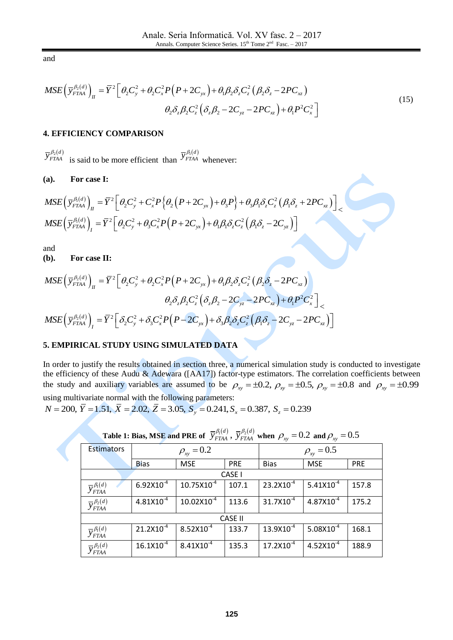and

and  
\n
$$
MSE\left(\overline{y}_{FTAA}^{\beta_2(d)}\right)_H = \overline{Y}^2 \left[\theta_2 C_y^2 + \theta_2 C_x^2 P\left(P + 2C_{yx}\right) + \theta_1 \beta_2 \delta_z C_z^2 \left(\beta_2 \delta_z - 2PC_{xz}\right) + \theta_1 P^2 C_x^2\right]
$$
\n
$$
\theta_2 \delta_z \beta_2 C_z^2 \left(\delta_z \beta_2 - 2C_{yz} - 2PC_{xz}\right) + \theta_1 P^2 C_x^2\right]
$$
\n(15)

#### **4. EFFICIENCY COMPARISON**

 $\overline{y}_{\textit{FTAA}}^{\beta_2(d)}$  is said to be more efficient than  $\overline{y}_{FTAA}^{\beta_1(d)}$  whenever:

**(a). For case I:**

(a). For case I:  
\n
$$
MSE\left(\overline{y}_{FTAA}^{\beta_1(d)}\right)_\Pi = \overline{Y}^2 \left[\theta_2 C_y^2 + C_x^2 P\left\{\theta_2 \left(P + 2C_{yx}\right) + \theta_3 P\right\} + \theta_3 \beta_1 \delta_z C_z^2 \left(\beta_1 \delta_z + 2PC_{xz}\right)\right] \times
$$
\n
$$
MSE\left(\overline{y}_{FTAA}^{\beta_1(d)}\right)_I = \overline{Y}^2 \left[\theta_2 C_y^2 + \theta_3 C_x^2 P\left(P + 2C_{yx}\right) + \theta_1 \beta_1 \delta_z C_z^2 \left(\beta_1 \delta_z - 2C_{yz}\right)\right]
$$
\nand

and

**(b). For case II:**

and  
\n**(b).** For case II:  
\n
$$
MSE\left(\overline{y}_{FTAA}^{\beta_2(d)}\right)_H = \overline{Y}^2 \left[\theta_2 C_y^2 + \theta_2 C_x^2 P\left(P + 2C_{yx}\right) + \theta_1 \beta_2 \delta_z C_z^2 \left(\beta_2 \delta_z - 2PC_{xz}\right)\right]
$$
\n
$$
\theta_2 \delta_z \beta_2 C_z^2 \left(\delta_z \beta_2 - 2C_{yz} - 2PC_{xz}\right) + \theta_1 P^2 C_x^2\right]_{\leq}
$$
\n
$$
MSE\left(\overline{y}_{FTAA}^{\beta_2(d)}\right)_I = \overline{Y}^2 \left[\delta_2 C_y^2 + \delta_3 C_x^2 P\left(P - 2C_{yx}\right) + \delta_3 \beta_2 \delta_z C_z^2 \left(\beta_1 \delta_z - 2C_{yz} - 2PC_{xz}\right)\right]
$$

# **5. EMPIRICAL STUDY USING SIMULATED DATA**

In order to justify the results obtained in section three, a numerical simulation study is conducted to investigate the efficiency of these Audu & Adewara ([AA17]) factor-type estimators. The correlation coefficients between the efficiency of these Audu & Adewara ([AA17]) factor-type estimators. The correlation coefficients between<br>the study and auxiliary variables are assumed to be  $\rho_{xy} = \pm 0.2$ ,  $\rho_{xy} = \pm 0.5$ ,  $\rho_{xy} = \pm 0.8$  and  $\rho_{xy} = \pm$ using multivariate normal with the following parameters:

*N* = 200,  $\overline{Y}$  = 1.51,  $\overline{X}$  = 2.02,  $\overline{Z}$  = 3.05,  $\overline{S_y}$  = 0.241,  $S_x$  = 0.387,  $S_z$  = 0.239

| Tword is blues, more and if the $\sigma$ of $f_{FIAA}$ , $f_{FIAA}$ when $\rho_{xy}$<br>$\sim$ and $\mu_{xy}$ |                   |                        |                |                       |                |            |  |  |
|---------------------------------------------------------------------------------------------------------------|-------------------|------------------------|----------------|-----------------------|----------------|------------|--|--|
| <b>Estimators</b>                                                                                             | $\rho_{xy} = 0.2$ |                        |                | $\rho_{xy} = 0.5$     |                |            |  |  |
|                                                                                                               | <b>Bias</b>       | <b>MSE</b>             | PRE            | <b>Bias</b>           | <b>MSE</b>     | <b>PRE</b> |  |  |
|                                                                                                               |                   |                        | CASE I         |                       |                |            |  |  |
| $\overline{y}_{FTAA}^{\beta_1(d)}$                                                                            | $6.92X10^{-4}$    | $10.75 \times 10^{-4}$ | 107.1          | $23.2X10^{-4}$        | $5.41X10^{-4}$ | 157.8      |  |  |
| $\overline{y}_{FTAA}^{\beta_2(d)}$                                                                            | $4.81X10^{-4}$    | $10.02X10^{-4}$        | 113.6          | $31.7X10^{-4}$        | $4.87X10^{-4}$ | 175.2      |  |  |
|                                                                                                               |                   |                        | <b>CASE II</b> |                       |                |            |  |  |
| $\overline{y}_{FTAA}^{\beta_1(d)}$                                                                            | $21.2X10^{-4}$    | $8.52X10^{-4}$         | 133.7          | $13.9X10^{-4}$        | $5.08X10^{-4}$ | 168.1      |  |  |
| $\overline{y}_{FTAA}^{\beta_2(d)}$                                                                            | $16.1X10^{-4}$    | $8.41X10^{-4}$         | 135.3          | $17.2 \times 10^{-4}$ | $4.52X10^{-4}$ | 188.9      |  |  |

| Table 1: Bias, MSE and PRE of $\sqrt{\frac{p_1}{T_{HAA}}}$ , $\sqrt{\frac{p_2(d)}{T_{HAA}}}$ when $\rho_{xy} = 0.2$ and $\rho_{xy} = 0.5$ |  |  |  |  |  |
|-------------------------------------------------------------------------------------------------------------------------------------------|--|--|--|--|--|
|-------------------------------------------------------------------------------------------------------------------------------------------|--|--|--|--|--|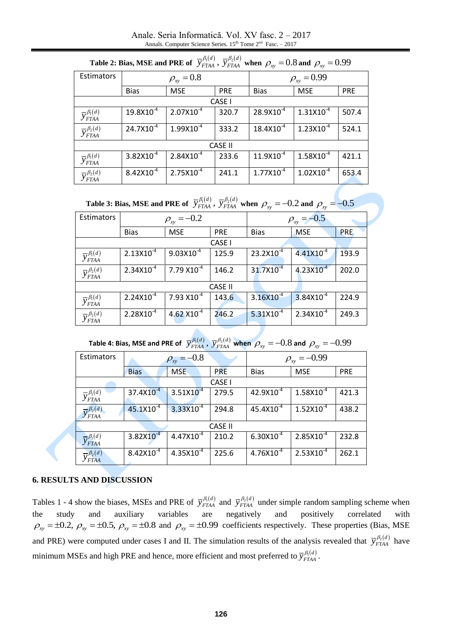Anale. Seria Informatică. Vol. XV fasc. 2 – 2017 Annals. Computer Science Series.  $15<sup>th</sup>$  Tome  $2<sup>nd</sup>$  Fasc.  $-2017$ 

| <b>Table 2. Dias, MSL and I KE 01</b> $y_{FTAA}$ , $y_{FTAA}$ when $p_{xy} = 0.0$ and $p_{xy} = 0.99$ |                     |                |            |                    |                |            |  |  |  |
|-------------------------------------------------------------------------------------------------------|---------------------|----------------|------------|--------------------|----------------|------------|--|--|--|
| Estimators                                                                                            | $\rho_{xy} = 0.8$   |                |            | $\rho_{xy} = 0.99$ |                |            |  |  |  |
|                                                                                                       | <b>Bias</b>         | <b>MSE</b>     | <b>PRE</b> | <b>Bias</b>        | <b>MSE</b>     | <b>PRE</b> |  |  |  |
|                                                                                                       |                     |                | CASE I     |                    |                |            |  |  |  |
| $\overline{y}_{FTAA}^{\beta_1(d)}$                                                                    | $19.8\times10^{-4}$ | $2.07X10^{-4}$ | 320.7      | $28.9X10^{-4}$     | $1.31X10^{-4}$ | 507.4      |  |  |  |
| $\overline{y}_{FTAA}^{\beta_2(d)}$                                                                    | $24.7X10^{-4}$      | $1.99X10^{-4}$ | 333.2      | $18.4X10^{-4}$     | $1.23X10^{-4}$ | 524.1      |  |  |  |
|                                                                                                       | <b>CASE II</b>      |                |            |                    |                |            |  |  |  |
| $\overline{y}_{FTAA}^{\beta_1(d)}$                                                                    | $3.82X10^{-4}$      | $2.84X10^{-4}$ | 233.6      | $11.9X10^{-4}$     | $1.58X10^{-4}$ | 421.1      |  |  |  |
| $\overline{y}_{FTAA}^{\beta_2(d)}$                                                                    | $8.42X10^{-4}$      | $2.75X10^{-4}$ | 241.1      | $1.77X10^{-4}$     | $1.02X10^{-4}$ | 653.4      |  |  |  |

| Table 2: Bias, MSE and PRE of $\ \overline{y}_{FTAA}^{ \beta_1(d)}$ , $\overline{y}_{FTAA}^{ \beta_2(d)}$ when $\rho_{_{X\!V}}=0.8$ and $\rho_{_{X\!V}}=0.99$ |  |  |  |
|---------------------------------------------------------------------------------------------------------------------------------------------------------------|--|--|--|
|---------------------------------------------------------------------------------------------------------------------------------------------------------------|--|--|--|

| Table 3: Bias, MSE and PRE of $\overline{y}_{FTAA}^{\beta_1(d)}$ , $\overline{y}_{FTAA}^{\beta_2(d)}$ when $\rho_{xy} = -0.2$ and $\rho_{xy} = -0.5$ |  |  |  |  |  |  |  |
|------------------------------------------------------------------------------------------------------------------------------------------------------|--|--|--|--|--|--|--|
|------------------------------------------------------------------------------------------------------------------------------------------------------|--|--|--|--|--|--|--|

| Estimators                         | $\rho_{xy} = -0.2$ |                       |            | $\rho_{xy} = -0.5$    |                       |       |  |
|------------------------------------|--------------------|-----------------------|------------|-----------------------|-----------------------|-------|--|
|                                    | <b>Bias</b>        | <b>MSE</b>            | <b>PRE</b> |                       | <b>MSE</b>            | PRE.  |  |
|                                    |                    |                       | CASE I     |                       |                       |       |  |
| $\overline{y}_{FTAA}^{\beta_1(d)}$ | $2.13X10^{-4}$     | $9.03X10^{-4}$        | 125.9      | $23.2X10^{-4}$        | $4.41X10^{-4}$        | 193.9 |  |
| $\overline{y}_{FTAA}^{\beta_2(d)}$ | $2.34X10^{-4}$     | $7.79 X10^{-4}$       | 146.2      | 31.7X10 <sup>-4</sup> | $4.23 \times 10^{-4}$ | 202.0 |  |
| <b>CASE II</b>                     |                    |                       |            |                       |                       |       |  |
| $\overline{y}_{FTAA}^{\beta_1(d)}$ | $2.24X10^{-4}$     | $7.93 \times 10^{-4}$ | 143.6      | $3.16X10^{-4}$        | $3.84X10^{-4}$        | 224.9 |  |
| $\overline{y}_{FTAA}^{\beta_2(d)}$ | $2.28X10^{-4}$     | 4.62 $X10^{-4}$       | 246.2      | $5.31X10^{-4}$        | $2.34X10^{-4}$        | 249.3 |  |

Table 4: Bias, MSE and PRE of  $\;\overline{y}^{\beta_1(d)}_{FTAA}\,,\, \overline{y}^{\beta_2(d)}_{FTAA}\,$  when  $\;\rho_{_{X\!Y}}=-0.8$  and  $\;\rho_{_{X\!Y}}=-0.99$ 

| Estimators                         | $\rho_{xy} = -0.8$    |                |            | $\rho_{xy} = -0.99$ |                |            |
|------------------------------------|-----------------------|----------------|------------|---------------------|----------------|------------|
|                                    | <b>Bias</b>           | <b>MSE</b>     | <b>PRE</b> | <b>Bias</b>         | <b>MSE</b>     | <b>PRE</b> |
|                                    |                       |                | CASE I     |                     |                |            |
| $\overline{y}_{FTAA}^{\beta_1(d)}$ | 37.4X10 <sup>-4</sup> | $3.51X10^{-4}$ | 279.5      | $42.9X10^{-4}$      | $1.58X10^{-4}$ | 421.3      |
| $\overline{y}_{FTAA}^{\beta_2(d)}$ | 45.1X10 <sup>-4</sup> | $3.33X10^{-4}$ | 294.8      | $45.4X10^{-4}$      | $1.52X10^{-4}$ | 438.2      |
| <b>CASE II</b>                     |                       |                |            |                     |                |            |
| $\overline{y}_{FTAA}^{\beta_1(d)}$ | $3.82X10^{-4}$        | $4.47X10^{-4}$ | 210.2      | $6.30X10^{-4}$      | $2.85X10^{-4}$ | 232.8      |
| $\overline{y}_{FTAA}^{\beta_2(d)}$ | $8.42X10^{-4}$        | $4.35X10^{-4}$ | 225.6      | $4.76X10^{-4}$      | $2.53X10^{-4}$ | 262.1      |

# **6. RESULTS AND DISCUSSION**

Tables 1 - 4 show the biases, MSEs and PRE of  $\bar{y}_{FFAA}^{A(d)}$  and  $\bar{y}_{FTAA}^{B_2(d)}$  under simple random sampling scheme when the study and auxiliary variables are negatively and positively correlated with the study and auxiliary variables are negatively and positively correlated with  $\rho_{xy} = \pm 0.2$ ,  $\rho_{xy} = \pm 0.5$ ,  $\rho_{xy} = \pm 0.8$  and  $\rho_{xy} = \pm 0.99$  coefficients respectively. These properties (Bias, MSE) and PRE) were computed under cases I and II. The simulation results of the analysis revealed that  $\bar{y}_{FTAA}^{\beta_2(d)}$  have minimum MSEs and high PRE and hence, more efficient and most preferred to  $\bar{y}^{\beta_1(d)}_{FTAA}$ .